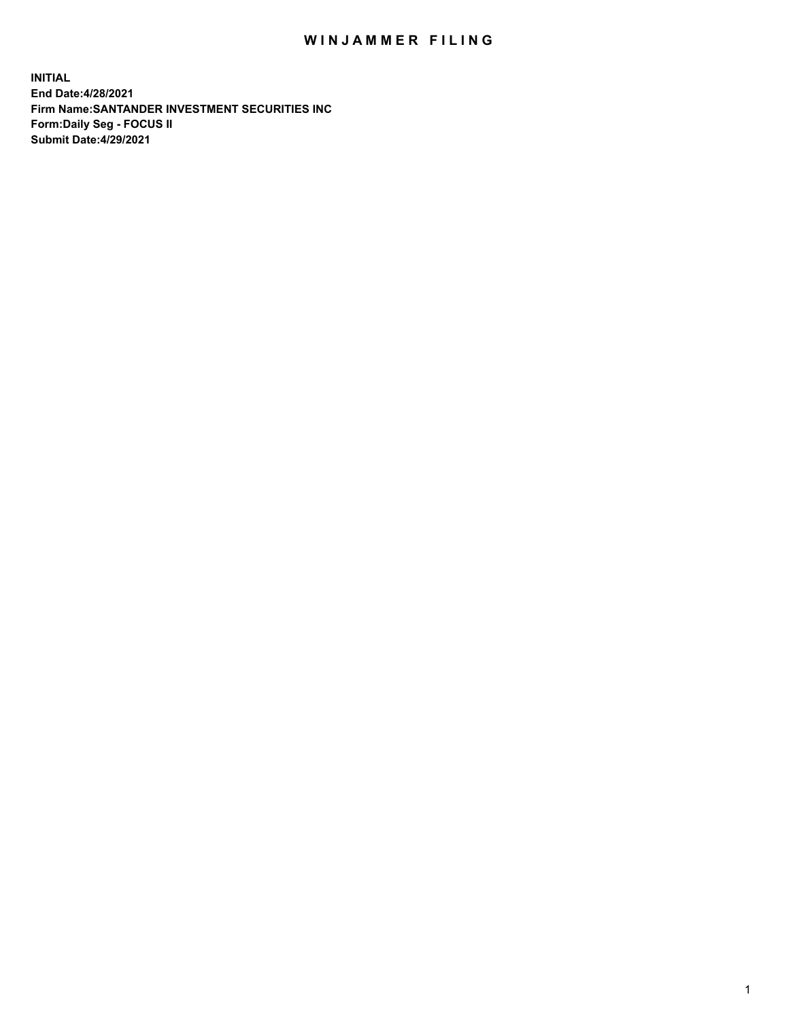## WIN JAMMER FILING

**INITIAL End Date:4/28/2021 Firm Name:SANTANDER INVESTMENT SECURITIES INC Form:Daily Seg - FOCUS II Submit Date:4/29/2021**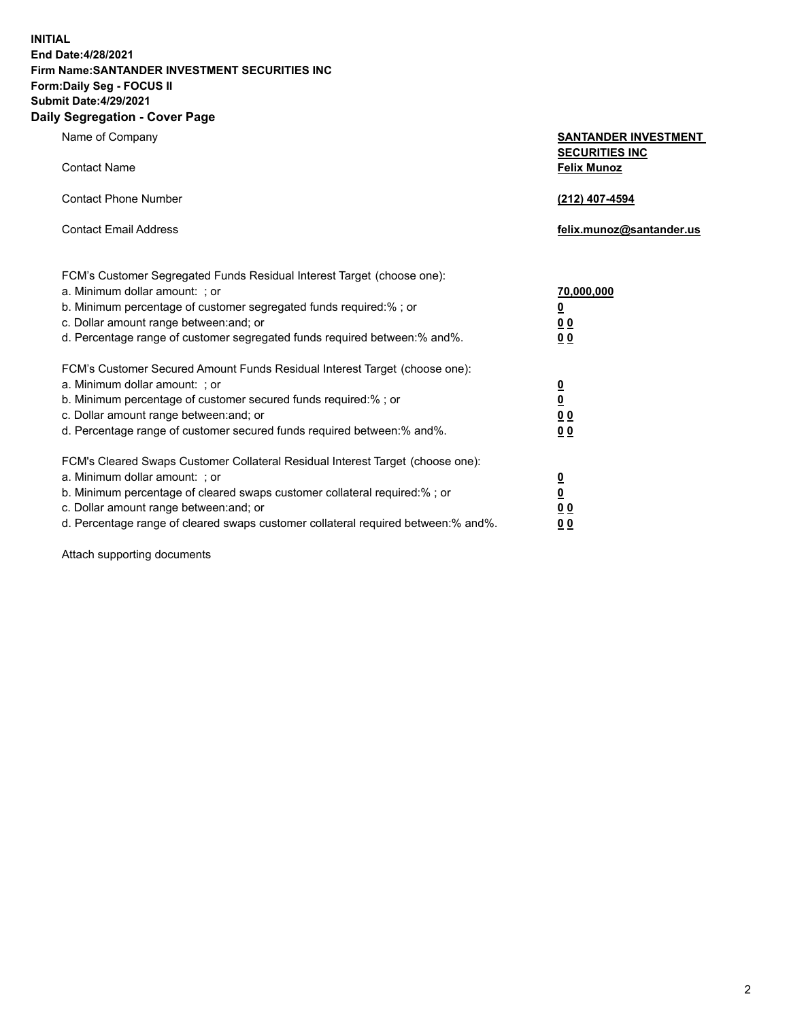**INITIAL End Date:4/28/2021 Firm Name:SANTANDER INVESTMENT SECURITIES INC Form:Daily Seg - FOCUS II Submit Date:4/29/2021 Daily Segregation - Cover Page**

| , ocgicgation - oover rage                                                                                                                                                                                                                                                                                                                                                         |                                                                                    |
|------------------------------------------------------------------------------------------------------------------------------------------------------------------------------------------------------------------------------------------------------------------------------------------------------------------------------------------------------------------------------------|------------------------------------------------------------------------------------|
| Name of Company                                                                                                                                                                                                                                                                                                                                                                    | <b>SANTANDER INVESTMENT</b><br><b>SECURITIES INC</b>                               |
| <b>Contact Name</b>                                                                                                                                                                                                                                                                                                                                                                | <b>Felix Munoz</b>                                                                 |
| <b>Contact Phone Number</b>                                                                                                                                                                                                                                                                                                                                                        | (212) 407-4594                                                                     |
| <b>Contact Email Address</b>                                                                                                                                                                                                                                                                                                                                                       | felix.munoz@santander.us                                                           |
| FCM's Customer Segregated Funds Residual Interest Target (choose one):<br>a. Minimum dollar amount: ; or<br>b. Minimum percentage of customer segregated funds required:% ; or<br>c. Dollar amount range between: and; or                                                                                                                                                          | 70,000,000<br>$\underline{\mathbf{0}}$<br>0 <sub>0</sub>                           |
| d. Percentage range of customer segregated funds required between: % and %.<br>FCM's Customer Secured Amount Funds Residual Interest Target (choose one):<br>a. Minimum dollar amount: ; or<br>b. Minimum percentage of customer secured funds required:%; or<br>c. Dollar amount range between: and; or<br>d. Percentage range of customer secured funds required between:% and%. | 0 <sub>0</sub><br>$\frac{0}{0}$<br>$\underline{0} \underline{0}$<br>0 <sub>0</sub> |
| FCM's Cleared Swaps Customer Collateral Residual Interest Target (choose one):<br>a. Minimum dollar amount: ; or<br>b. Minimum percentage of cleared swaps customer collateral required:% ; or<br>c. Dollar amount range between: and; or<br>d. Percentage range of cleared swaps customer collateral required between:% and%.                                                     | $\frac{0}{0}$<br>$\underline{0} \underline{0}$<br>0 <sub>0</sub>                   |

Attach supporting documents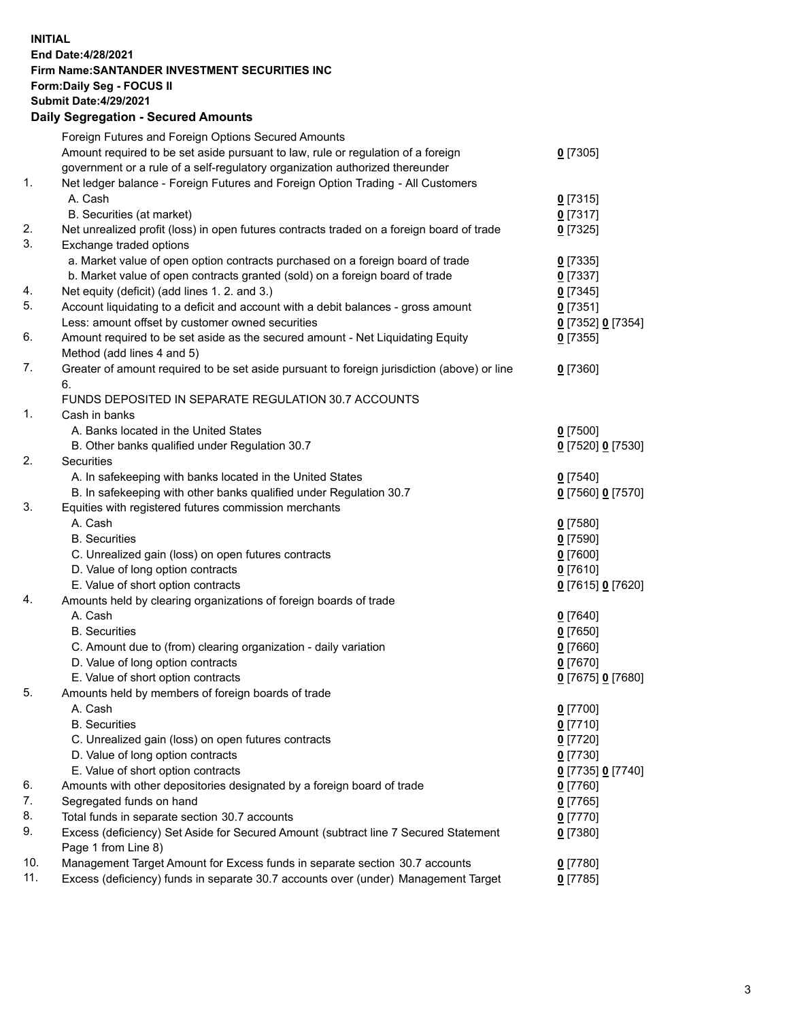## **INITIAL End Date:4/28/2021 Firm Name:SANTANDER INVESTMENT SECURITIES INC Form:Daily Seg - FOCUS II Submit Date:4/29/2021 Daily Segregation - Secured Amounts**

|               | Foreign Futures and Foreign Options Secured Amounts                                         |                   |
|---------------|---------------------------------------------------------------------------------------------|-------------------|
|               | Amount required to be set aside pursuant to law, rule or regulation of a foreign            | $0$ [7305]        |
|               | government or a rule of a self-regulatory organization authorized thereunder                |                   |
| $\mathbf 1$ . | Net ledger balance - Foreign Futures and Foreign Option Trading - All Customers             |                   |
|               | A. Cash                                                                                     | $0$ [7315]        |
|               | B. Securities (at market)                                                                   | $0$ [7317]        |
| 2.            | Net unrealized profit (loss) in open futures contracts traded on a foreign board of trade   | $0$ [7325]        |
| 3.            | Exchange traded options                                                                     |                   |
|               | a. Market value of open option contracts purchased on a foreign board of trade              | $0$ [7335]        |
|               | b. Market value of open contracts granted (sold) on a foreign board of trade                | $0$ [7337]        |
| 4.            | Net equity (deficit) (add lines 1. 2. and 3.)                                               | $0$ [7345]        |
| 5.            | Account liquidating to a deficit and account with a debit balances - gross amount           | $0$ [7351]        |
|               | Less: amount offset by customer owned securities                                            | 0 [7352] 0 [7354] |
| 6.            | Amount required to be set aside as the secured amount - Net Liquidating Equity              | $0$ [7355]        |
|               | Method (add lines 4 and 5)                                                                  |                   |
| 7.            | Greater of amount required to be set aside pursuant to foreign jurisdiction (above) or line | $0$ [7360]        |
|               | 6.                                                                                          |                   |
|               | FUNDS DEPOSITED IN SEPARATE REGULATION 30.7 ACCOUNTS                                        |                   |
| 1.            | Cash in banks                                                                               |                   |
|               | A. Banks located in the United States                                                       | $0$ [7500]        |
|               | B. Other banks qualified under Regulation 30.7                                              | 0 [7520] 0 [7530] |
| 2.            | Securities                                                                                  |                   |
|               | A. In safekeeping with banks located in the United States                                   | $0$ [7540]        |
|               | B. In safekeeping with other banks qualified under Regulation 30.7                          | 0 [7560] 0 [7570] |
| 3.            | Equities with registered futures commission merchants                                       |                   |
|               | A. Cash                                                                                     | $0$ [7580]        |
|               | <b>B.</b> Securities                                                                        | $0$ [7590]        |
|               | C. Unrealized gain (loss) on open futures contracts                                         | $0$ [7600]        |
|               | D. Value of long option contracts                                                           | $0$ [7610]        |
|               | E. Value of short option contracts                                                          | 0 [7615] 0 [7620] |
| 4.            | Amounts held by clearing organizations of foreign boards of trade                           |                   |
|               | A. Cash                                                                                     | $0$ [7640]        |
|               | <b>B.</b> Securities                                                                        | $0$ [7650]        |
|               | C. Amount due to (from) clearing organization - daily variation                             | $0$ [7660]        |
|               | D. Value of long option contracts                                                           | $0$ [7670]        |
|               | E. Value of short option contracts                                                          | 0 [7675] 0 [7680] |
| 5.            | Amounts held by members of foreign boards of trade                                          |                   |
|               | A. Cash                                                                                     | $0$ [7700]        |
|               | <b>B.</b> Securities                                                                        | $0$ [7710]        |
|               | C. Unrealized gain (loss) on open futures contracts                                         | $0$ [7720]        |
|               | D. Value of long option contracts                                                           | $0$ [7730]        |
|               | E. Value of short option contracts                                                          | 0 [7735] 0 [7740] |
| 6.            | Amounts with other depositories designated by a foreign board of trade                      | $0$ [7760]        |
| 7.            | Segregated funds on hand                                                                    | $0$ [7765]        |
| 8.            | Total funds in separate section 30.7 accounts                                               | $0$ [7770]        |
| 9.            | Excess (deficiency) Set Aside for Secured Amount (subtract line 7 Secured Statement         | $0$ [7380]        |
|               | Page 1 from Line 8)                                                                         |                   |
| 10.           | Management Target Amount for Excess funds in separate section 30.7 accounts                 | $0$ [7780]        |
| 11.           | Excess (deficiency) funds in separate 30.7 accounts over (under) Management Target          | $0$ [7785]        |
|               |                                                                                             |                   |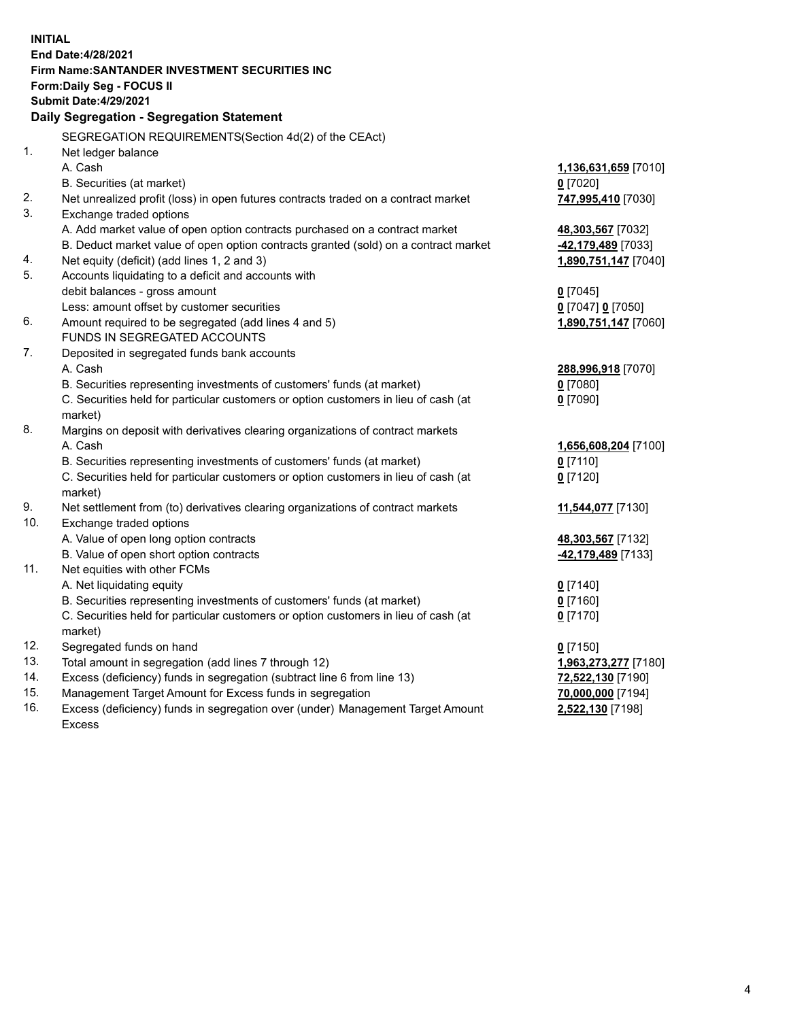| <b>INITIAL</b> |                                                                                                 |                      |
|----------------|-------------------------------------------------------------------------------------------------|----------------------|
|                | End Date: 4/28/2021                                                                             |                      |
|                | Firm Name: SANTANDER INVESTMENT SECURITIES INC                                                  |                      |
|                | Form: Daily Seg - FOCUS II                                                                      |                      |
|                | <b>Submit Date:4/29/2021</b>                                                                    |                      |
|                | Daily Segregation - Segregation Statement                                                       |                      |
|                | SEGREGATION REQUIREMENTS(Section 4d(2) of the CEAct)                                            |                      |
| 1.             | Net ledger balance                                                                              |                      |
|                | A. Cash                                                                                         | 1,136,631,659 [7010] |
|                | B. Securities (at market)                                                                       | $0$ [7020]           |
| 2.             | Net unrealized profit (loss) in open futures contracts traded on a contract market              | 747,995,410 [7030]   |
| 3.             | Exchange traded options                                                                         |                      |
|                | A. Add market value of open option contracts purchased on a contract market                     | 48,303,567 [7032]    |
|                | B. Deduct market value of open option contracts granted (sold) on a contract market             | -42,179,489 [7033]   |
| 4.             | Net equity (deficit) (add lines 1, 2 and 3)                                                     | 1,890,751,147 [7040] |
| 5.             | Accounts liquidating to a deficit and accounts with                                             |                      |
|                | debit balances - gross amount                                                                   | $0$ [7045]           |
|                | Less: amount offset by customer securities                                                      | 0 [7047] 0 [7050]    |
| 6.             | Amount required to be segregated (add lines 4 and 5)                                            | 1,890,751,147 [7060] |
|                | FUNDS IN SEGREGATED ACCOUNTS                                                                    |                      |
| 7.             | Deposited in segregated funds bank accounts                                                     |                      |
|                | A. Cash                                                                                         | 288,996,918 [7070]   |
|                | B. Securities representing investments of customers' funds (at market)                          | $0$ [7080]           |
|                | C. Securities held for particular customers or option customers in lieu of cash (at             | $0$ [7090]           |
|                | market)                                                                                         |                      |
| 8.             | Margins on deposit with derivatives clearing organizations of contract markets                  |                      |
|                | A. Cash                                                                                         | 1,656,608,204 [7100] |
|                | B. Securities representing investments of customers' funds (at market)                          | $0$ [7110]           |
|                | C. Securities held for particular customers or option customers in lieu of cash (at             | $0$ [7120]           |
|                | market)                                                                                         |                      |
| 9.             | Net settlement from (to) derivatives clearing organizations of contract markets                 | 11,544,077 [7130]    |
| 10.            | Exchange traded options                                                                         |                      |
|                | A. Value of open long option contracts                                                          | 48,303,567 [7132]    |
|                | B. Value of open short option contracts                                                         | -42,179,489 [7133]   |
| 11.            | Net equities with other FCMs                                                                    |                      |
|                | A. Net liquidating equity                                                                       | $0$ [7140]           |
|                | B. Securities representing investments of customers' funds (at market)                          | $0$ [7160]           |
|                | C. Securities held for particular customers or option customers in lieu of cash (at             | $0$ [7170]           |
|                | market)                                                                                         |                      |
| 12.            | Segregated funds on hand                                                                        | $0$ [7150]           |
| 13.            | Total amount in segregation (add lines 7 through 12)                                            | 1,963,273,277 [7180] |
| 14.<br>15.     | Excess (deficiency) funds in segregation (subtract line 6 from line 13)                         | 72,522,130 [7190]    |
| 16.            | Management Target Amount for Excess funds in segregation                                        | 70,000,000 [7194]    |
|                | Excess (deficiency) funds in segregation over (under) Management Target Amount<br><b>Excess</b> | 2,522,130 [7198]     |
|                |                                                                                                 |                      |